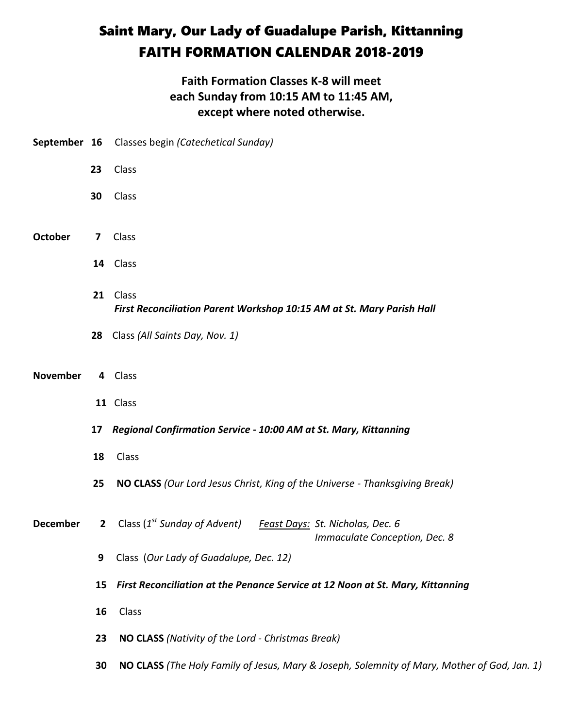## Saint Mary, Our Lady of Guadalupe Parish, Kittanning FAITH FORMATION CALENDAR 2018-2019

## **Faith Formation Classes K-8 will meet each Sunday from 10:15 AM to 11:45 AM, except where noted otherwise.**

|                 |             | September 16 Classes begin (Catechetical Sunday)                                                              |  |
|-----------------|-------------|---------------------------------------------------------------------------------------------------------------|--|
|                 | 23          | Class                                                                                                         |  |
|                 | 30          | Class                                                                                                         |  |
| <b>October</b>  | 7           | Class                                                                                                         |  |
|                 |             | 14 Class                                                                                                      |  |
|                 | 21          | Class<br>First Reconciliation Parent Workshop 10:15 AM at St. Mary Parish Hall                                |  |
|                 | 28          | Class (All Saints Day, Nov. 1)                                                                                |  |
| <b>November</b> |             | 4 Class                                                                                                       |  |
|                 |             | 11 Class                                                                                                      |  |
|                 | 17          | Regional Confirmation Service - 10:00 AM at St. Mary, Kittanning                                              |  |
|                 | 18          | Class                                                                                                         |  |
|                 | 25          | NO CLASS (Our Lord Jesus Christ, King of the Universe - Thanksgiving Break)                                   |  |
| <b>December</b> | $2^{\circ}$ | Class (1 <sup>st</sup> Sunday of Advent)<br>Feast Days: St. Nicholas, Dec. 6<br>Immaculate Conception, Dec. 8 |  |
|                 | 9           | Class (Our Lady of Guadalupe, Dec. 12)                                                                        |  |
|                 | 15          | First Reconciliation at the Penance Service at 12 Noon at St. Mary, Kittanning                                |  |
|                 | 16          | Class                                                                                                         |  |
|                 | 23          | NO CLASS (Nativity of the Lord - Christmas Break)                                                             |  |
|                 | 30          | NO CLASS (The Holy Family of Jesus, Mary & Joseph, Solemnity of Mary, Mother of God, Jan. 1)                  |  |